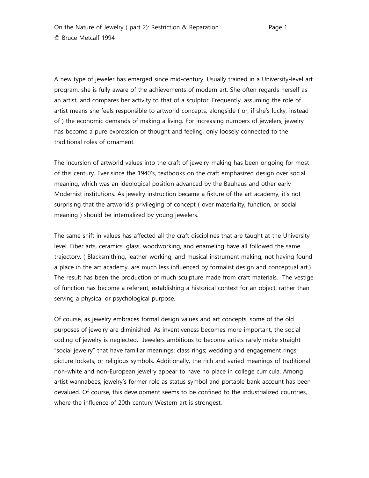A new type of jeweler has emerged since mid-century. Usually trained in a University-level art program, she is fully aware of the achievements of modern art. She often regards herself as an artist, and compares her activity to that of a sculptor. Frequently, assuming the role of artist means she feels responsible to artworld concepts, alongside ( or, if she's lucky, instead of ) the economic demands of making a living. For increasing numbers of jewelers, jewelry has become a pure expression of thought and feeling, only loosely connected to the traditional roles of ornament.

The incursion of artworld values into the craft of jewelry-making has been ongoing for most of this century. Ever since the 1940's, textbooks on the craft emphasized design over social meaning, which was an ideological position advanced by the Bauhaus and other early Modernist institutions. As jewelry instruction became a fixture of the art academy, it's not surprising that the artworld's privileging of concept ( over materiality, function, or social meaning ) should be internalized by young jewelers.

The same shift in values has affected all the craft disciplines that are taught at the University level. Fiber arts, ceramics, glass, woodworking, and enameling have all followed the same trajectory. ( Blacksmithing, leather-working, and musical instrument making, not having found a place in the art academy, are much less influenced by formalist design and conceptual art.) The result has been the production of much sculpture made from craft materials. The vestige of function has become a referent, establishing a historical context for an object, rather than serving a physical or psychological purpose.

Of course, as jewelry embraces formal design values and art concepts, some of the old purposes of jewelry are diminished. As inventiveness becomes more important, the social coding of jewelry is neglected. Jewelers ambitious to become artists rarely make straight "social jewelry" that have familiar meanings: class rings; wedding and engagement rings; picture lockets; or religious symbols. Additionally, the rich and varied meanings of traditional non-white and non-European jewelry appear to have no place in college curricula. Among artist wannabees, jewelry's former role as status symbol and portable bank account has been devalued. Of course, this development seems to be confined to the industrialized countries, where the influence of 20th century Western art is strongest.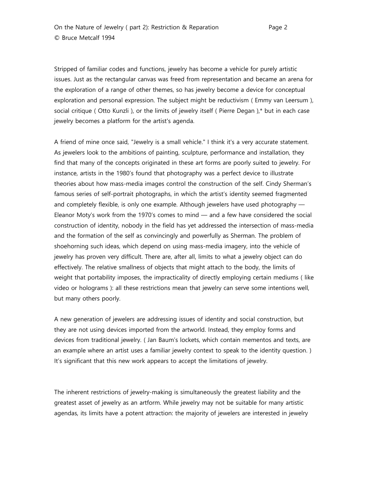Stripped of familiar codes and functions, jewelry has become a vehicle for purely artistic issues. Just as the rectangular canvas was freed from representation and became an arena for the exploration of a range of other themes, so has jewelry become a device for conceptual exploration and personal expression. The subject might be reductivism ( Emmy van Leersum ), social critique ( Otto Kunzli ), or the limits of jewelry itself ( Pierre Degan ),\* but in each case jewelry becomes a platform for the artist's agenda.

A friend of mine once said, "Jewelry is a small vehicle." I think it's a very accurate statement. As jewelers look to the ambitions of painting, sculpture, performance and installation, they find that many of the concepts originated in these art forms are poorly suited to jewelry. For instance, artists in the 1980's found that photography was a perfect device to illustrate theories about how mass-media images control the construction of the self. Cindy Sherman's famous series of self-portrait photographs, in which the artist's identity seemed fragmented and completely flexible, is only one example. Although jewelers have used photography — Eleanor Moty's work from the 1970's comes to mind — and a few have considered the social construction of identity, nobody in the field has yet addressed the intersection of mass-media and the formation of the self as convincingly and powerfully as Sherman. The problem of shoehorning such ideas, which depend on using mass-media imagery, into the vehicle of jewelry has proven very difficult. There are, after all, limits to what a jewelry object can do effectively. The relative smallness of objects that might attach to the body, the limits of weight that portability imposes, the impracticality of directly employing certain mediums ( like video or holograms ): all these restrictions mean that jewelry can serve some intentions well, but many others poorly.

A new generation of jewelers are addressing issues of identity and social construction, but they are not using devices imported from the artworld. Instead, they employ forms and devices from traditional jewelry. ( Jan Baum's lockets, which contain mementos and texts, are an example where an artist uses a familiar jewelry context to speak to the identity question. ) It's significant that this new work appears to accept the limitations of jewelry.

The inherent restrictions of jewelry-making is simultaneously the greatest liability and the greatest asset of jewelry as an artform. While jewelry may not be suitable for many artistic agendas, its limits have a potent attraction: the majority of jewelers are interested in jewelry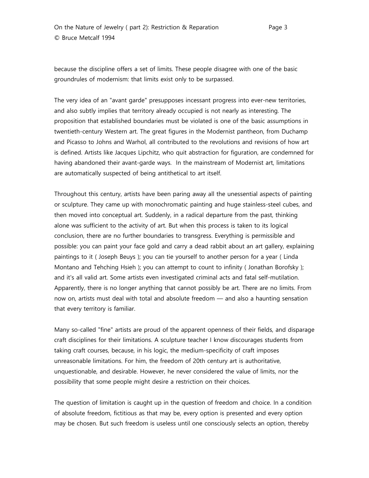because the discipline offers a set of limits. These people disagree with one of the basic groundrules of modernism: that limits exist only to be surpassed.

The very idea of an "avant garde" presupposes incessant progress into ever-new territories, and also subtly implies that territory already occupied is not nearly as interesting. The proposition that established boundaries must be violated is one of the basic assumptions in twentieth-century Western art. The great figures in the Modernist pantheon, from Duchamp and Picasso to Johns and Warhol, all contributed to the revolutions and revisions of how art is defined. Artists like Jacques Lipchitz, who quit abstraction for figuration, are condemned for having abandoned their avant-garde ways. In the mainstream of Modernist art, limitations are automatically suspected of being antithetical to art itself.

Throughout this century, artists have been paring away all the unessential aspects of painting or sculpture. They came up with monochromatic painting and huge stainless-steel cubes, and then moved into conceptual art. Suddenly, in a radical departure from the past, thinking alone was sufficient to the activity of art. But when this process is taken to its logical conclusion, there are no further boundaries to transgress. Everything is permissible and possible: you can paint your face gold and carry a dead rabbit about an art gallery, explaining paintings to it ( Joseph Beuys ); you can tie yourself to another person for a year ( Linda Montano and Tehching Hsieh ); you can attempt to count to infinity ( Jonathan Borofsky ); and it's all valid art. Some artists even investigated criminal acts and fatal self-mutilation. Apparently, there is no longer anything that cannot possibly be art. There are no limits. From now on, artists must deal with total and absolute freedom — and also a haunting sensation that every territory is familiar.

Many so-called "fine" artists are proud of the apparent openness of their fields, and disparage craft disciplines for their limitations. A sculpture teacher I know discourages students from taking craft courses, because, in his logic, the medium-specificity of craft imposes unreasonable limitations. For him, the freedom of 20th century art is authoritative, unquestionable, and desirable. However, he never considered the value of limits, nor the possibility that some people might desire a restriction on their choices.

The question of limitation is caught up in the question of freedom and choice. In a condition of absolute freedom, fictitious as that may be, every option is presented and every option may be chosen. But such freedom is useless until one consciously selects an option, thereby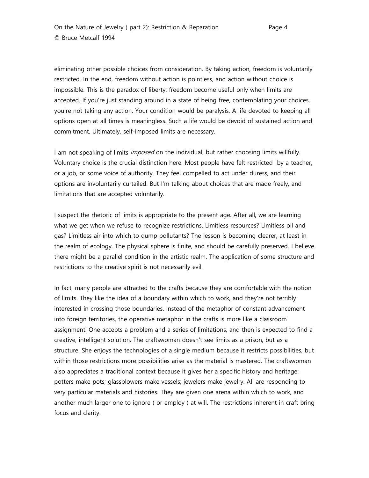eliminating other possible choices from consideration. By taking action, freedom is voluntarily restricted. In the end, freedom without action is pointless, and action without choice is impossible. This is the paradox of liberty: freedom become useful only when limits are accepted. If you're just standing around in a state of being free, contemplating your choices, you're not taking any action. Your condition would be paralysis. A life devoted to keeping all options open at all times is meaningless. Such a life would be devoid of sustained action and commitment. Ultimately, self-imposed limits are necessary.

I am not speaking of limits *imposed* on the individual, but rather choosing limits willfully. Voluntary choice is the crucial distinction here. Most people have felt restricted by a teacher, or a job, or some voice of authority. They feel compelled to act under duress, and their options are involuntarily curtailed. But I'm talking about choices that are made freely, and limitations that are accepted voluntarily.

I suspect the rhetoric of limits is appropriate to the present age. After all, we are learning what we get when we refuse to recognize restrictions. Limitless resources? Limitless oil and gas? Limitless air into which to dump pollutants? The lesson is becoming clearer, at least in the realm of ecology. The physical sphere is finite, and should be carefully preserved. I believe there might be a parallel condition in the artistic realm. The application of some structure and restrictions to the creative spirit is not necessarily evil.

In fact, many people are attracted to the crafts because they are comfortable with the notion of limits. They like the idea of a boundary within which to work, and they're not terribly interested in crossing those boundaries. Instead of the metaphor of constant advancement into foreign territories, the operative metaphor in the crafts is more like a classroom assignment. One accepts a problem and a series of limitations, and then is expected to find a creative, intelligent solution. The craftswoman doesn't see limits as a prison, but as a structure. She enjoys the technologies of a single medium because it restricts possibilities, but within those restrictions more possibilities arise as the material is mastered. The craftswoman also appreciates a traditional context because it gives her a specific history and heritage: potters make pots; glassblowers make vessels; jewelers make jewelry. All are responding to very particular materials and histories. They are given one arena within which to work, and another much larger one to ignore ( or employ ) at will. The restrictions inherent in craft bring focus and clarity.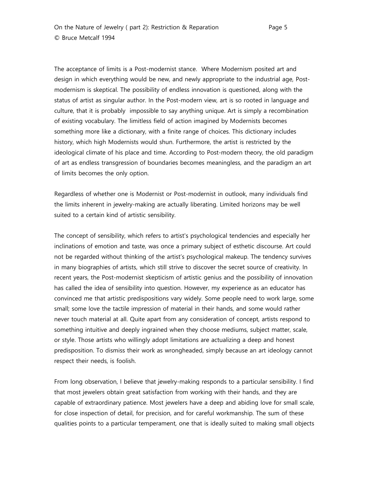The acceptance of limits is a Post-modernist stance. Where Modernism posited art and design in which everything would be new, and newly appropriate to the industrial age, Postmodernism is skeptical. The possibility of endless innovation is questioned, along with the status of artist as singular author. In the Post-modern view, art is so rooted in language and culture, that it is probably impossible to say anything unique. Art is simply a recombination of existing vocabulary. The limitless field of action imagined by Modernists becomes something more like a dictionary, with a finite range of choices. This dictionary includes history, which high Modernists would shun. Furthermore, the artist is restricted by the ideological climate of his place and time. According to Post-modern theory, the old paradigm of art as endless transgression of boundaries becomes meaningless, and the paradigm an art of limits becomes the only option.

Regardless of whether one is Modernist or Post-modernist in outlook, many individuals find the limits inherent in jewelry-making are actually liberating. Limited horizons may be well suited to a certain kind of artistic sensibility.

The concept of sensibility, which refers to artist's psychological tendencies and especially her inclinations of emotion and taste, was once a primary subject of esthetic discourse. Art could not be regarded without thinking of the artist's psychological makeup. The tendency survives in many biographies of artists, which still strive to discover the secret source of creativity. In recent years, the Post-modernist skepticism of artistic genius and the possibility of innovation has called the idea of sensibility into question. However, my experience as an educator has convinced me that artistic predispositions vary widely. Some people need to work large, some small; some love the tactile impression of material in their hands, and some would rather never touch material at all. Quite apart from any consideration of concept, artists respond to something intuitive and deeply ingrained when they choose mediums, subject matter, scale, or style. Those artists who willingly adopt limitations are actualizing a deep and honest predisposition. To dismiss their work as wrongheaded, simply because an art ideology cannot respect their needs, is foolish.

From long observation, I believe that jewelry-making responds to a particular sensibility. I find that most jewelers obtain great satisfaction from working with their hands, and they are capable of extraordinary patience. Most jewelers have a deep and abiding love for small scale, for close inspection of detail, for precision, and for careful workmanship. The sum of these qualities points to a particular temperament, one that is ideally suited to making small objects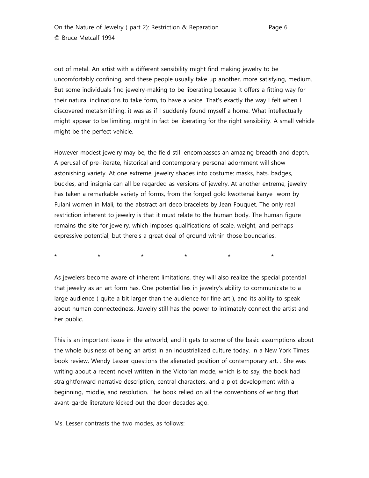out of metal. An artist with a different sensibility might find making jewelry to be uncomfortably confining, and these people usually take up another, more satisfying, medium. But some individuals find jewelry-making to be liberating because it offers a fitting way for their natural inclinations to take form, to have a voice. That's exactly the way I felt when I discovered metalsmithing: it was as if I suddenly found myself a home. What intellectually might appear to be limiting, might in fact be liberating for the right sensibility. A small vehicle might be the perfect vehicle.

However modest jewelry may be, the field still encompasses an amazing breadth and depth. A perusal of pre-literate, historical and contemporary personal adornment will show astonishing variety. At one extreme, jewelry shades into costume: masks, hats, badges, buckles, and insignia can all be regarded as versions of jewelry. At another extreme, jewelry has taken a remarkable variety of forms, from the forged gold kwottenai kanye worn by Fulani women in Mali, to the abstract art deco bracelets by Jean Fouquet. The only real restriction inherent to jewelry is that it must relate to the human body. The human figure remains the site for jewelry, which imposes qualifications of scale, weight, and perhaps expressive potential, but there's a great deal of ground within those boundaries.

\* \* \* \* \* \*

As jewelers become aware of inherent limitations, they will also realize the special potential that jewelry as an art form has. One potential lies in jewelry's ability to communicate to a large audience ( quite a bit larger than the audience for fine art ), and its ability to speak about human connectedness. Jewelry still has the power to intimately connect the artist and her public.

This is an important issue in the artworld, and it gets to some of the basic assumptions about the whole business of being an artist in an industrialized culture today. In a New York Times book review, Wendy Lesser questions the alienated position of contemporary art. . She was writing about a recent novel written in the Victorian mode, which is to say, the book had straightforward narrative description, central characters, and a plot development with a beginning, middle, and resolution. The book relied on all the conventions of writing that avant-garde literature kicked out the door decades ago.

Ms. Lesser contrasts the two modes, as follows: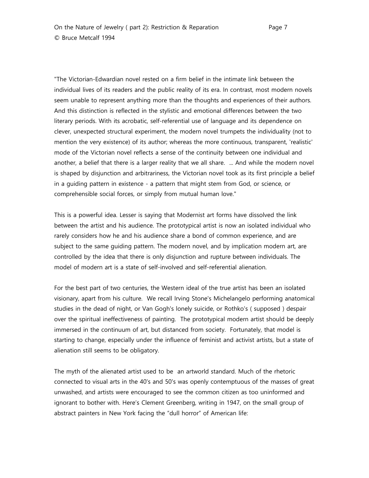"The Victorian-Edwardian novel rested on a firm belief in the intimate link between the individual lives of its readers and the public reality of its era. In contrast, most modern novels seem unable to represent anything more than the thoughts and experiences of their authors. And this distinction is reflected in the stylistic and emotional differences between the two literary periods. With its acrobatic, self-referential use of language and its dependence on clever, unexpected structural experiment, the modern novel trumpets the individuality (not to mention the very existence) of its author; whereas the more continuous, transparent, 'realistic' mode of the Victorian novel reflects a sense of the continuity between one individual and another, a belief that there is a larger reality that we all share. ... And while the modern novel is shaped by disjunction and arbitrariness, the Victorian novel took as its first principle a belief in a guiding pattern in existence - a pattern that might stem from God, or science, or comprehensible social forces, or simply from mutual human love."

This is a powerful idea. Lesser is saying that Modernist art forms have dissolved the link between the artist and his audience. The prototypical artist is now an isolated individual who rarely considers how he and his audience share a bond of common experience, and are subject to the same guiding pattern. The modern novel, and by implication modern art, are controlled by the idea that there is only disjunction and rupture between individuals. The model of modern art is a state of self-involved and self-referential alienation.

For the best part of two centuries, the Western ideal of the true artist has been an isolated visionary, apart from his culture. We recall Irving Stone's Michelangelo performing anatomical studies in the dead of night, or Van Gogh's lonely suicide, or Rothko's ( supposed ) despair over the spiritual ineffectiveness of painting. The prototypical modern artist should be deeply immersed in the continuum of art, but distanced from society. Fortunately, that model is starting to change, especially under the influence of feminist and activist artists, but a state of alienation still seems to be obligatory.

The myth of the alienated artist used to be an artworld standard. Much of the rhetoric connected to visual arts in the 40's and 50's was openly contemptuous of the masses of great unwashed, and artists were encouraged to see the common citizen as too uninformed and ignorant to bother with. Here's Clement Greenberg, writing in 1947, on the small group of abstract painters in New York facing the "dull horror" of American life: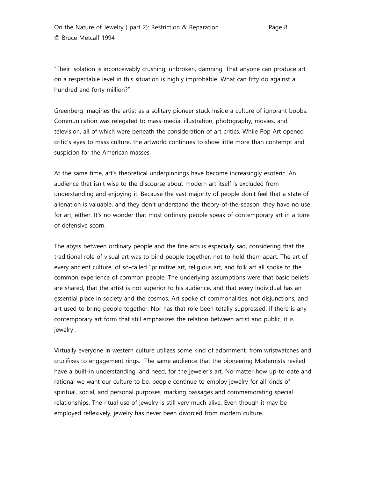"Their isolation is inconceivably crushing, unbroken, damning. That anyone can produce art on a respectable level in this situation is highly improbable. What can fifty do against a hundred and forty million?"

Greenberg imagines the artist as a solitary pioneer stuck inside a culture of ignorant boobs. Communication was relegated to mass-media: illustration, photography, movies, and television, all of which were beneath the consideration of art critics. While Pop Art opened critic's eyes to mass culture, the artworld continues to show little more than contempt and suspicion for the American masses.

At the same time, art's theoretical underpinnings have become increasingly esoteric. An audience that isn't wise to the discourse about modern art itself is excluded from understanding and enjoying it. Because the vast majority of people don't feel that a state of alienation is valuable, and they don't understand the theory-of-the-season, they have no use for art, either. It's no wonder that most ordinary people speak of contemporary art in a tone of defensive scorn.

The abyss between ordinary people and the fine arts is especially sad, considering that the traditional role of visual art was to bind people together, not to hold them apart. The art of every ancient culture, of so-called "primitive"art, religious art, and folk art all spoke to the common experience of common people. The underlying assumptions were that basic beliefs are shared, that the artist is not superior to his audience, and that every individual has an essential place in society and the cosmos. Art spoke of commonalities, not disjunctions, and art used to bring people together. Nor has that role been totally suppressed: if there is any contemporary art form that still emphasizes the relation between artist and public, it is jewelry .

Virtually everyone in western culture utilizes some kind of adornment, from wristwatches and crucifixes to engagement rings. The same audience that the pioneering Modernists reviled have a built-in understanding, and need, for the jeweler's art. No matter how up-to-date and rational we want our culture to be, people continue to employ jewelry for all kinds of spiritual, social, and personal purposes, marking passages and commemorating special relationships. The ritual use of jewelry is still very much alive. Even though it may be employed reflexively, jewelry has never been divorced from modern culture.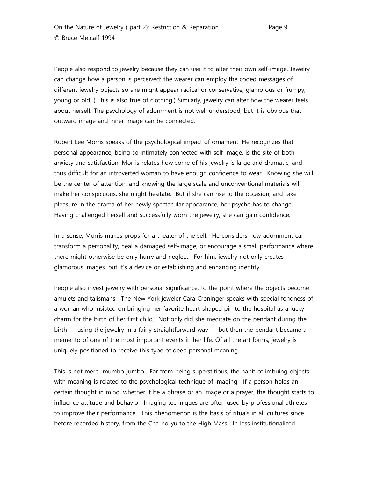People also respond to jewelry because they can use it to alter their own self-image. Jewelry can change how a person is perceived: the wearer can employ the coded messages of different jewelry objects so she might appear radical or conservative, glamorous or frumpy, young or old. ( This is also true of clothing.) Similarly, jewelry can alter how the wearer feels about herself. The psychology of adornment is not well understood, but it is obvious that outward image and inner image can be connected.

Robert Lee Morris speaks of the psychological impact of ornament. He recognizes that personal appearance, being so intimately connected with self-image, is the site of both anxiety and satisfaction. Morris relates how some of his jewelry is large and dramatic, and thus difficult for an introverted woman to have enough confidence to wear. Knowing she will be the center of attention, and knowing the large scale and unconventional materials will make her conspicuous, she might hesitate. But if she can rise to the occasion, and take pleasure in the drama of her newly spectacular appearance, her psyche has to change. Having challenged herself and successfully worn the jewelry, she can gain confidence.

In a sense, Morris makes props for a theater of the self. He considers how adornment can transform a personality, heal a damaged self-image, or encourage a small performance where there might otherwise be only hurry and neglect. For him, jewelry not only creates glamorous images, but it's a device or establishing and enhancing identity.

People also invest jewelry with personal significance, to the point where the objects become amulets and talismans. The New York jeweler Cara Croninger speaks with special fondness of a woman who insisted on bringing her favorite heart-shaped pin to the hospital as a lucky charm for the birth of her first child. Not only did she meditate on the pendant during the birth — using the jewelry in a fairly straightforward way — but then the pendant became a memento of one of the most important events in her life. Of all the art forms, jewelry is uniquely positioned to receive this type of deep personal meaning.

This is not mere mumbo-jumbo. Far from being superstitious, the habit of imbuing objects with meaning is related to the psychological technique of imaging. If a person holds an certain thought in mind, whether it be a phrase or an image or a prayer, the thought starts to influence attitude and behavior. Imaging techniques are often used by professional athletes to improve their performance. This phenomenon is the basis of rituals in all cultures since before recorded history, from the Cha-no-yu to the High Mass. In less institutionalized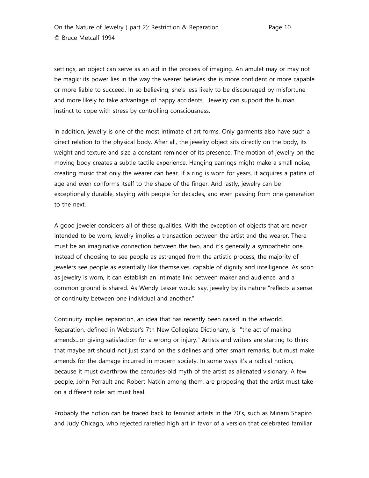On the Nature of Jewelry ( part 2): Restriction & Reparation Page 10 © Bruce Metcalf 1994

settings, an object can serve as an aid in the process of imaging. An amulet may or may not be magic: its power lies in the way the wearer believes she is more confident or more capable or more liable to succeed. In so believing, she's less likely to be discouraged by misfortune and more likely to take advantage of happy accidents. Jewelry can support the human instinct to cope with stress by controlling consciousness.

In addition, jewelry is one of the most intimate of art forms. Only garments also have such a direct relation to the physical body. After all, the jewelry object sits directly on the body, its weight and texture and size a constant reminder of its presence. The motion of jewelry on the moving body creates a subtle tactile experience. Hanging earrings might make a small noise, creating music that only the wearer can hear. If a ring is worn for years, it acquires a patina of age and even conforms itself to the shape of the finger. And lastly, jewelry can be exceptionally durable, staying with people for decades, and even passing from one generation to the next.

A good jeweler considers all of these qualities. With the exception of objects that are never intended to be worn, jewelry implies a transaction between the artist and the wearer. There must be an imaginative connection between the two, and it's generally a sympathetic one. Instead of choosing to see people as estranged from the artistic process, the majority of jewelers see people as essentially like themselves, capable of dignity and intelligence. As soon as jewelry is worn, it can establish an intimate link between maker and audience, and a common ground is shared. As Wendy Lesser would say, jewelry by its nature "reflects a sense of continuity between one individual and another."

Continuity implies reparation, an idea that has recently been raised in the artworld. Reparation, defined in Webster's 7th New Collegiate Dictionary, is "the act of making amends...or giving satisfaction for a wrong or injury." Artists and writers are starting to think that maybe art should not just stand on the sidelines and offer smart remarks, but must make amends for the damage incurred in modern society. In some ways it's a radical notion, because it must overthrow the centuries-old myth of the artist as alienated visionary. A few people, John Perrault and Robert Natkin among them, are proposing that the artist must take on a different role: art must heal.

Probably the notion can be traced back to feminist artists in the 70's, such as Miriam Shapiro and Judy Chicago, who rejected rarefied high art in favor of a version that celebrated familiar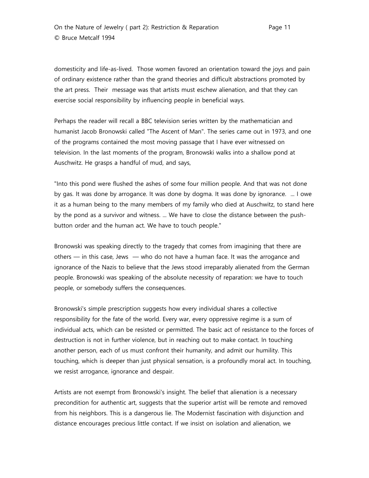On the Nature of Jewelry ( part 2): Restriction & Reparation Page 11 © Bruce Metcalf 1994

domesticity and life-as-lived. Those women favored an orientation toward the joys and pain of ordinary existence rather than the grand theories and difficult abstractions promoted by the art press. Their message was that artists must eschew alienation, and that they can exercise social responsibility by influencing people in beneficial ways.

Perhaps the reader will recall a BBC television series written by the mathematician and humanist Jacob Bronowski called "The Ascent of Man". The series came out in 1973, and one of the programs contained the most moving passage that I have ever witnessed on television. In the last moments of the program, Bronowski walks into a shallow pond at Auschwitz. He grasps a handful of mud, and says,

"Into this pond were flushed the ashes of some four million people. And that was not done by gas. It was done by arrogance. It was done by dogma. It was done by ignorance. ... I owe it as a human being to the many members of my family who died at Auschwitz, to stand here by the pond as a survivor and witness. ... We have to close the distance between the pushbutton order and the human act. We have to touch people."

Bronowski was speaking directly to the tragedy that comes from imagining that there are others — in this case, Jews — who do not have a human face. It was the arrogance and ignorance of the Nazis to believe that the Jews stood irreparably alienated from the German people. Bronowski was speaking of the absolute necessity of reparation: we have to touch people, or somebody suffers the consequences.

Bronowski's simple prescription suggests how every individual shares a collective responsibility for the fate of the world. Every war, every oppressive regime is a sum of individual acts, which can be resisted or permitted. The basic act of resistance to the forces of destruction is not in further violence, but in reaching out to make contact. In touching another person, each of us must confront their humanity, and admit our humility. This touching, which is deeper than just physical sensation, is a profoundly moral act. In touching, we resist arrogance, ignorance and despair.

Artists are not exempt from Bronowski's insight. The belief that alienation is a necessary precondition for authentic art, suggests that the superior artist will be remote and removed from his neighbors. This is a dangerous lie. The Modernist fascination with disjunction and distance encourages precious little contact. If we insist on isolation and alienation, we